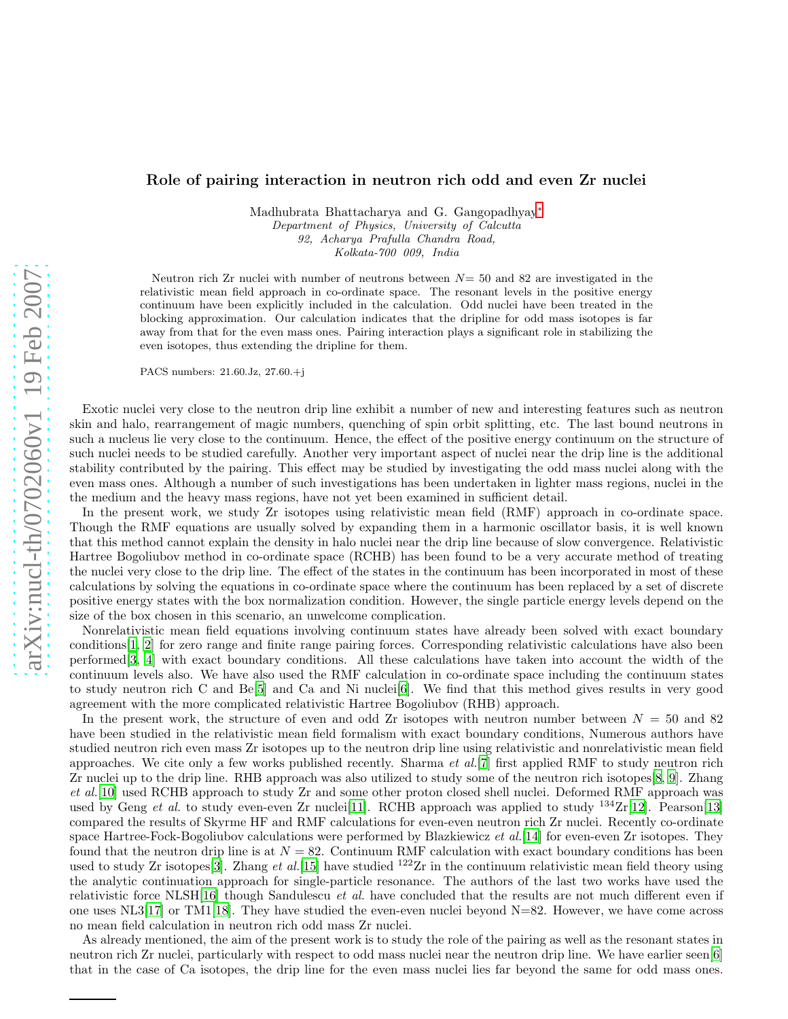## Role of pairing interaction in neutron rich odd and even Zr nuclei

Madhubrata Bhattacharya and G. Gangopadhyay<sup>\*</sup> Department of Physics, University of Calcutta 92, Acharya Prafulla Chandra Road, Kolkata-700 009, India

Neutron rich  $Zr$  nuclei with number of neutrons between  $N=50$  and 82 are investigated in the relativistic mean field approach in co-ordinate space. The resonant levels in the positive energy continuum have been explicitly included in the calculation. Odd nuclei have been treated in the blocking approximation. Our calculation indicates that the dripline for odd mass isotopes is far away from that for the even mass ones. Pairing interaction plays a significant role in stabilizing the even isotopes, thus extending the dripline for them.

PACS numbers: 21.60.Jz, 27.60.+j

Exotic nuclei very close to the neutron drip line exhibit a number of new and interesting features such as neutron skin and halo, rearrangement of magic numbers, quenching of spin orbit splitting, etc. The last bound neutrons in such a nucleus lie very close to the continuum. Hence, the effect of the positive energy continuum on the structure of such nuclei needs to be studied carefully. Another very important aspect of nuclei near the drip line is the additional stability contributed by the pairing. This effect may be studied by investigating the odd mass nuclei along with the even mass ones. Although a number of such investigations has been undertaken in lighter mass regions, nuclei in the the medium and the heavy mass regions, have not yet been examined in sufficient detail.

In the present work, we study Zr isotopes using relativistic mean field (RMF) approach in co-ordinate space. Though the RMF equations are usually solved by expanding them in a harmonic oscillator basis, it is well known that this method cannot explain the density in halo nuclei near the drip line because of slow convergence. Relativistic Hartree Bogoliubov method in co-ordinate space (RCHB) has been found to be a very accurate method of treating the nuclei very close to the drip line. The effect of the states in the continuum has been incorporated in most of these calculations by solving the equations in co-ordinate space where the continuum has been replaced by a set of discrete positive energy states with the box normalization condition. However, the single particle energy levels depend on the size of the box chosen in this scenario, an unwelcome complication.

Nonrelativistic mean field equations involving continuum states have already been solved with exact boundary conditions[\[1](#page-2-0), [2](#page-2-1)] for zero range and finite range pairing forces. Corresponding relativistic calculations have also been performed[\[3](#page-3-0), [4\]](#page-3-1) with exact boundary conditions. All these calculations have taken into account the width of the continuum levels also. We have also used the RMF calculation in co-ordinate space including the continuum states to study neutron rich C and Be[\[5\]](#page-3-2) and Ca and Ni nuclei[\[6](#page-3-3)]. We find that this method gives results in very good agreement with the more complicated relativistic Hartree Bogoliubov (RHB) approach.

In the present work, the structure of even and odd Zr isotopes with neutron number between  $N = 50$  and 82 have been studied in the relativistic mean field formalism with exact boundary conditions, Numerous authors have studied neutron rich even mass Zr isotopes up to the neutron drip line using relativistic and nonrelativistic mean field approaches. We cite only a few works published recently. Sharma  $et al.[7]$  $et al.[7]$  first applied RMF to study neutron rich Zr nuclei up to the drip line. RHB approach was also utilized to study some of the neutron rich isotopes[\[8](#page-3-5), [9](#page-3-6)]. Zhang et al.[\[10\]](#page-3-7) used RCHB approach to study Zr and some other proton closed shell nuclei. Deformed RMF approach was used by Geng et al. to study even-even Zr nuclei<sup>[\[11\]](#page-3-8)</sup>. RCHB approach was applied to study <sup>134</sup>Zr<sup>[\[12\]](#page-3-9)</sup>. Pearson<sup>[\[13\]](#page-3-10)</sup> compared the results of Skyrme HF and RMF calculations for even-even neutron rich Zr nuclei. Recently co-ordinate space Hartree-Fock-Bogoliubov calculations were performed by Blazkiewicz et al. [\[14\]](#page-3-11) for even-even Zr isotopes. They found that the neutron drip line is at  $N = 82$ . Continuum RMF calculation with exact boundary conditions has been used to study Zr isotopes<sup>[\[3](#page-3-0)]</sup>. Zhang et al.<sup>[\[15\]](#page-3-12)</sup> have studied <sup>122</sup>Zr in the continuum relativistic mean field theory using the analytic continuation approach for single-particle resonance. The authors of the last two works have used the relativistic force NLSH[\[16\]](#page-3-13) though Sandulescu et al. have concluded that the results are not much different even if one uses NL3[\[17\]](#page-3-14) or TM1[\[18](#page-3-15)]. They have studied the even-even nuclei beyond N=82. However, we have come across no mean field calculation in neutron rich odd mass Zr nuclei.

<span id="page-0-0"></span>As already mentioned, the aim of the present work is to study the role of the pairing as well as the resonant states in neutron rich Zr nuclei, particularly with respect to odd mass nuclei near the neutron drip line. We have earlier seen[\[6](#page-3-3)] that in the case of Ca isotopes, the drip line for the even mass nuclei lies far beyond the same for odd mass ones.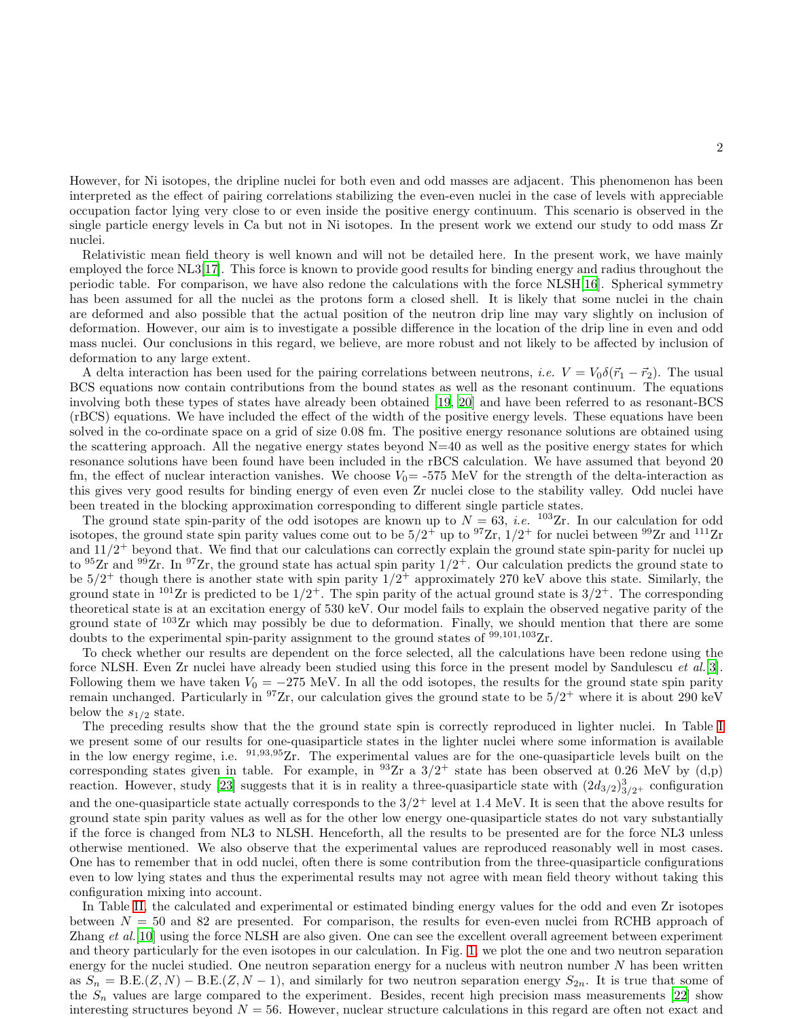However, for Ni isotopes, the dripline nuclei for both even and odd masses are adjacent. This phenomenon has been interpreted as the effect of pairing correlations stabilizing the even-even nuclei in the case of levels with appreciable occupation factor lying very close to or even inside the positive energy continuum. This scenario is observed in the single particle energy levels in Ca but not in Ni isotopes. In the present work we extend our study to odd mass Zr nuclei.

Relativistic mean field theory is well known and will not be detailed here. In the present work, we have mainly employed the force NL3[\[17](#page-3-14)]. This force is known to provide good results for binding energy and radius throughout the periodic table. For comparison, we have also redone the calculations with the force NLSH[\[16](#page-3-13)]. Spherical symmetry has been assumed for all the nuclei as the protons form a closed shell. It is likely that some nuclei in the chain are deformed and also possible that the actual position of the neutron drip line may vary slightly on inclusion of deformation. However, our aim is to investigate a possible difference in the location of the drip line in even and odd mass nuclei. Our conclusions in this regard, we believe, are more robust and not likely to be affected by inclusion of deformation to any large extent.

A delta interaction has been used for the pairing correlations between neutrons, *i.e.*  $V = V_0 \delta(\vec{r}_1 - \vec{r}_2)$ . The usual BCS equations now contain contributions from the bound states as well as the resonant continuum. The equations involving both these types of states have already been obtained [\[19](#page-3-16), [20\]](#page-3-17) and have been referred to as resonant-BCS (rBCS) equations. We have included the effect of the width of the positive energy levels. These equations have been solved in the co-ordinate space on a grid of size 0.08 fm. The positive energy resonance solutions are obtained using the scattering approach. All the negative energy states beyond  $N=40$  as well as the positive energy states for which resonance solutions have been found have been included in the rBCS calculation. We have assumed that beyond 20 fm, the effect of nuclear interaction vanishes. We choose  $V_0$  = -575 MeV for the strength of the delta-interaction as this gives very good results for binding energy of even even Zr nuclei close to the stability valley. Odd nuclei have been treated in the blocking approximation corresponding to different single particle states.

The ground state spin-parity of the odd isotopes are known up to  $N = 63$ , *i.e.* <sup>103</sup>Zr. In our calculation for odd isotopes, the ground state spin parity values come out to be  $5/2^+$  up to  $97Zr$ ,  $1/2^+$  for nuclei between  $99Zr$  and  $111Zr$ and  $11/2$ <sup>+</sup> beyond that. We find that our calculations can correctly explain the ground state spin-parity for nuclei up to <sup>95</sup>Zr and <sup>99</sup>Zr. In <sup>97</sup>Zr, the ground state has actual spin parity  $1/2^+$ . Our calculation predicts the ground state to be  $5/2^+$  though there is another state with spin parity  $1/2^+$  approximately 270 keV above this state. Similarly, the ground state in <sup>101</sup>Zr is predicted to be  $1/2^+$ . The spin parity of the actual ground state is  $3/2^+$ . The corresponding theoretical state is at an excitation energy of 530 keV. Our model fails to explain the observed negative parity of the ground state of <sup>103</sup>Zr which may possibly be due to deformation. Finally, we should mention that there are some doubts to the experimental spin-parity assignment to the ground states of  $99,101,103$ Zr.

To check whether our results are dependent on the force selected, all the calculations have been redone using the force NLSH. Even Zr nuclei have already been studied using this force in the present model by Sandulescu et al.[\[3](#page-3-0)]. Following them we have taken  $V_0 = -275$  MeV. In all the odd isotopes, the results for the ground state spin parity remain unchanged. Particularly in <sup>97</sup>Zr, our calculation gives the ground state to be  $5/2^+$  where it is about 290 keV below the  $s_{1/2}$  state.

The preceding results show that the the ground state spin is correctly reproduced in lighter nuclei. In Table [I](#page-4-0) we present some of our results for one-quasiparticle states in the lighter nuclei where some information is available in the low energy regime, i.e. <sup>91</sup>,93,95Zr. The experimental values are for the one-quasiparticle levels built on the corresponding states given in table. For example, in  $93Zr$  a  $3/2^+$  state has been observed at 0.26 MeV by (d,p) reaction. However, study [\[23\]](#page-3-18) suggests that it is in reality a three-quasiparticle state with  $(2d_{3/2})_{3/2+}^3$  configuration and the one-quasiparticle state actually corresponds to the  $3/2^+$  level at 1.4 MeV. It is seen that the above results for ground state spin parity values as well as for the other low energy one-quasiparticle states do not vary substantially if the force is changed from NL3 to NLSH. Henceforth, all the results to be presented are for the force NL3 unless otherwise mentioned. We also observe that the experimental values are reproduced reasonably well in most cases. One has to remember that in odd nuclei, often there is some contribution from the three-quasiparticle configurations even to low lying states and thus the experimental results may not agree with mean field theory without taking this configuration mixing into account.

In Table [II,](#page-4-1) the calculated and experimental or estimated binding energy values for the odd and even Zr isotopes between  $N = 50$  and 82 are presented. For comparison, the results for even-even nuclei from RCHB approach of Zhang et al. [\[10](#page-3-7)] using the force NLSH are also given. One can see the excellent overall agreement between experiment and theory particularly for the even isotopes in our calculation. In Fig. [1,](#page-5-0) we plot the one and two neutron separation energy for the nuclei studied. One neutron separation energy for a nucleus with neutron number  $N$  has been written as  $S_n = B.E.(Z, N) - B.E.(Z, N-1)$ , and similarly for two neutron separation energy  $S_{2n}$ . It is true that some of the  $S_n$  values are large compared to the experiment. Besides, recent high precision mass measurements [\[22\]](#page-3-19) show interesting structures beyond  $N = 56$ . However, nuclear structure calculations in this regard are often not exact and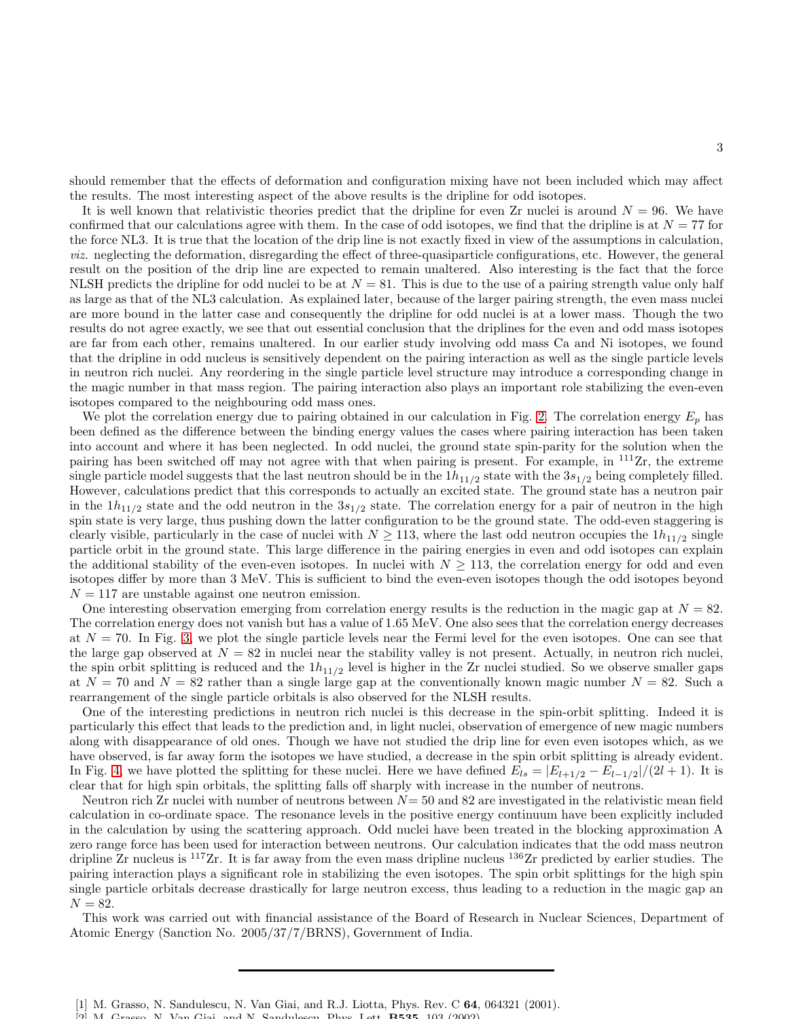should remember that the effects of deformation and configuration mixing have not been included which may affect the results. The most interesting aspect of the above results is the dripline for odd isotopes.

It is well known that relativistic theories predict that the dripline for even Zr nuclei is around  $N = 96$ . We have confirmed that our calculations agree with them. In the case of odd isotopes, we find that the dripline is at  $N = 77$  for the force NL3. It is true that the location of the drip line is not exactly fixed in view of the assumptions in calculation, viz. neglecting the deformation, disregarding the effect of three-quasiparticle configurations, etc. However, the general result on the position of the drip line are expected to remain unaltered. Also interesting is the fact that the force NLSH predicts the dripline for odd nuclei to be at  $N = 81$ . This is due to the use of a pairing strength value only half as large as that of the NL3 calculation. As explained later, because of the larger pairing strength, the even mass nuclei are more bound in the latter case and consequently the dripline for odd nuclei is at a lower mass. Though the two results do not agree exactly, we see that out essential conclusion that the driplines for the even and odd mass isotopes are far from each other, remains unaltered. In our earlier study involving odd mass Ca and Ni isotopes, we found that the dripline in odd nucleus is sensitively dependent on the pairing interaction as well as the single particle levels in neutron rich nuclei. Any reordering in the single particle level structure may introduce a corresponding change in the magic number in that mass region. The pairing interaction also plays an important role stabilizing the even-even isotopes compared to the neighbouring odd mass ones.

We plot the correlation energy due to pairing obtained in our calculation in Fig. [2.](#page-5-1) The correlation energy  $E_p$  has been defined as the difference between the binding energy values the cases where pairing interaction has been taken into account and where it has been neglected. In odd nuclei, the ground state spin-parity for the solution when the pairing has been switched off may not agree with that when pairing is present. For example, in <sup>111</sup>Zr, the extreme single particle model suggests that the last neutron should be in the  $1h_{11/2}$  state with the  $3s_{1/2}$  being completely filled. However, calculations predict that this corresponds to actually an excited state. The ground state has a neutron pair in the  $1h_{11/2}$  state and the odd neutron in the  $3s_{1/2}$  state. The correlation energy for a pair of neutron in the high spin state is very large, thus pushing down the latter configuration to be the ground state. The odd-even staggering is clearly visible, particularly in the case of nuclei with  $N \ge 113$ , where the last odd neutron occupies the  $1h_{11/2}$  single particle orbit in the ground state. This large difference in the pairing energies in even and odd isotopes can explain the additional stability of the even-even isotopes. In nuclei with  $N \geq 113$ , the correlation energy for odd and even isotopes differ by more than 3 MeV. This is sufficient to bind the even-even isotopes though the odd isotopes beyond  $N = 117$  are unstable against one neutron emission.

One interesting observation emerging from correlation energy results is the reduction in the magic gap at  $N = 82$ . The correlation energy does not vanish but has a value of 1.65 MeV. One also sees that the correlation energy decreases at  $N = 70$ . In Fig. [3,](#page-6-0) we plot the single particle levels near the Fermi level for the even isotopes. One can see that the large gap observed at  $N = 82$  in nuclei near the stability valley is not present. Actually, in neutron rich nuclei, the spin orbit splitting is reduced and the  $1h_{11/2}$  level is higher in the Zr nuclei studied. So we observe smaller gaps at  $N = 70$  and  $N = 82$  rather than a single large gap at the conventionally known magic number  $N = 82$ . Such a rearrangement of the single particle orbitals is also observed for the NLSH results.

One of the interesting predictions in neutron rich nuclei is this decrease in the spin-orbit splitting. Indeed it is particularly this effect that leads to the prediction and, in light nuclei, observation of emergence of new magic numbers along with disappearance of old ones. Though we have not studied the drip line for even even isotopes which, as we have observed, is far away form the isotopes we have studied, a decrease in the spin orbit splitting is already evident. In Fig. [4,](#page-6-1) we have plotted the splitting for these nuclei. Here we have defined  $E_{ls} = |E_{l+1/2} - E_{l-1/2}|/(2l+1)$ . It is clear that for high spin orbitals, the splitting falls off sharply with increase in the number of neutrons.

Neutron rich Zr nuclei with number of neutrons between  $N=50$  and 82 are investigated in the relativistic mean field calculation in co-ordinate space. The resonance levels in the positive energy continuum have been explicitly included in the calculation by using the scattering approach. Odd nuclei have been treated in the blocking approximation A zero range force has been used for interaction between neutrons. Our calculation indicates that the odd mass neutron dripline  $Zr$  nucleus is  $117Zr$ . It is far away from the even mass dripline nucleus  $136Zr$  predicted by earlier studies. The pairing interaction plays a significant role in stabilizing the even isotopes. The spin orbit splittings for the high spin single particle orbitals decrease drastically for large neutron excess, thus leading to a reduction in the magic gap an  $N = 82.$ 

This work was carried out with financial assistance of the Board of Research in Nuclear Sciences, Department of Atomic Energy (Sanction No. 2005/37/7/BRNS), Government of India.

<span id="page-2-0"></span><sup>[1]</sup> M. Grasso, N. Sandulescu, N. Van Giai, and R.J. Liotta, Phys. Rev. C 64, 064321 (2001).

<span id="page-2-1"></span> $C_{\text{ini}}$  and  $N_{\text{c}}$  Candulescu, Phys. Lett.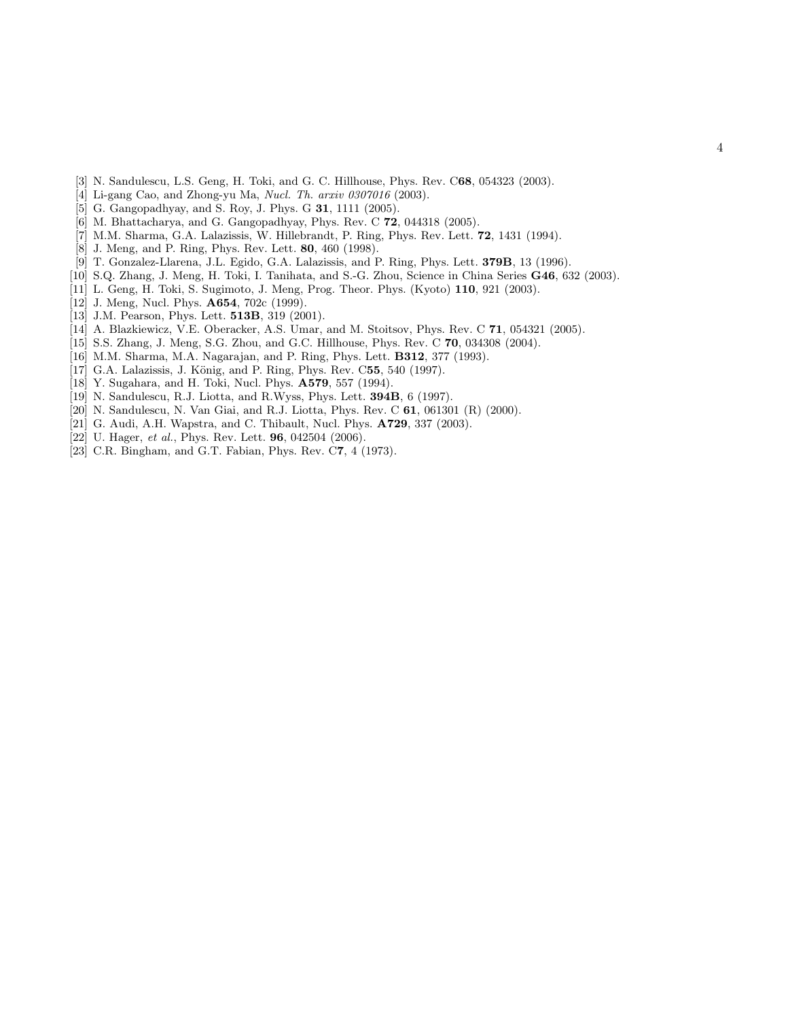- <span id="page-3-0"></span>[3] N. Sandulescu, L.S. Geng, H. Toki, and G. C. Hillhouse, Phys. Rev. C68, 054323 (2003).
- <span id="page-3-1"></span>[4] Li-gang Cao, and Zhong-yu Ma, Nucl. Th. arxiv 0307016 (2003).
- <span id="page-3-2"></span>[5] G. Gangopadhyay, and S. Roy, J. Phys. G **31**, 1111 (2005).
- <span id="page-3-3"></span>[6] M. Bhattacharya, and G. Gangopadhyay, Phys. Rev. C 72, 044318 (2005).
- <span id="page-3-4"></span>[7] M.M. Sharma, G.A. Lalazissis, W. Hillebrandt, P. Ring, Phys. Rev. Lett. 72, 1431 (1994).
- <span id="page-3-5"></span>[8] J. Meng, and P. Ring, Phys. Rev. Lett. 80, 460 (1998).
- <span id="page-3-6"></span>[9] T. Gonzalez-Llarena, J.L. Egido, G.A. Lalazissis, and P. Ring, Phys. Lett. 379B, 13 (1996).
- <span id="page-3-7"></span>[10] S.Q. Zhang, J. Meng, H. Toki, I. Tanihata, and S.-G. Zhou, Science in China Series G46, 632 (2003).
- <span id="page-3-8"></span>[11] L. Geng, H. Toki, S. Sugimoto, J. Meng, Prog. Theor. Phys. (Kyoto) 110, 921 (2003).
- <span id="page-3-9"></span>[12] J. Meng, Nucl. Phys. **A654**, 702c (1999).
- <span id="page-3-10"></span>[13] J.M. Pearson, Phys. Lett. **513B**, 319 (2001).
- <span id="page-3-11"></span>[14] A. Blazkiewicz, V.E. Oberacker, A.S. Umar, and M. Stoitsov, Phys. Rev. C 71, 054321 (2005).
- <span id="page-3-12"></span>[15] S.S. Zhang, J. Meng, S.G. Zhou, and G.C. Hillhouse, Phys. Rev. C 70, 034308 (2004).
- <span id="page-3-13"></span>[16] M.M. Sharma, M.A. Nagarajan, and P. Ring, Phys. Lett. B312, 377 (1993).
- <span id="page-3-14"></span>[17] G.A. Lalazissis, J. König, and P. Ring, Phys. Rev. C55, 540 (1997).
- <span id="page-3-15"></span>[18] Y. Sugahara, and H. Toki, Nucl. Phys. **A579**, 557 (1994).
- <span id="page-3-16"></span>[19] N. Sandulescu, R.J. Liotta, and R.Wyss, Phys. Lett. **394B**, 6 (1997).
- <span id="page-3-17"></span>[20] N. Sandulescu, N. Van Giai, and R.J. Liotta, Phys. Rev. C 61, 061301 (R) (2000).
- <span id="page-3-20"></span>[21] G. Audi, A.H. Wapstra, and C. Thibault, Nucl. Phys. A729, 337 (2003).
- <span id="page-3-19"></span>[22] U. Hager, et al., Phys. Rev. Lett. **96**, 042504 (2006).
- <span id="page-3-18"></span>[23] C.R. Bingham, and G.T. Fabian, Phys. Rev. C7, 4 (1973).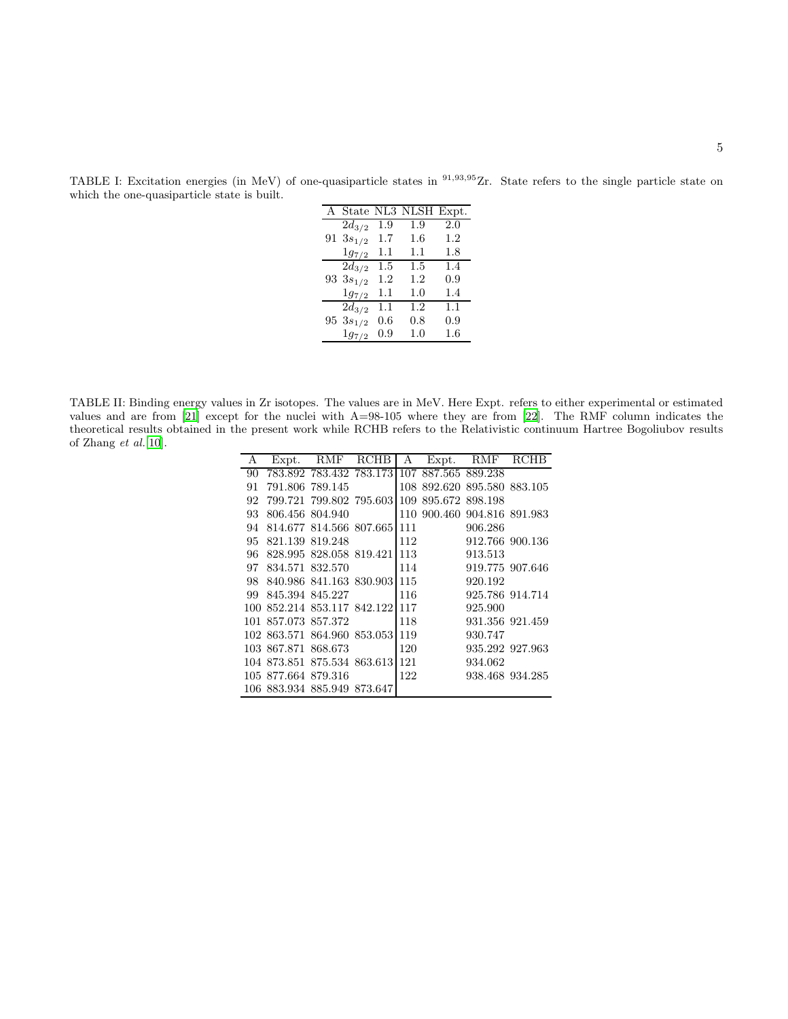|                       |               | A State NL3 NLSH Expt. |     |
|-----------------------|---------------|------------------------|-----|
| $2d_{3/2}$            | 1.9           | 1.9                    | 2.0 |
| 91 $3s_{1/2}$         | $1.7\,$       | $1.6\,$                | 1.2 |
| $1g_{7/2}$            | 1.1           | $1.1\,$                | 1.8 |
| $\overline{2}d_{3/2}$ | $1.5^{\circ}$ | $1.5\,$                | 1.4 |
| 93 $3s_{1/2}$         | 1.2           | 1.2                    | 0.9 |
| $1g_{7/2}$            | 1.1           | 1.0                    | 1.4 |
| $2d_{3/2}$            | 1.1           | $\overline{1}.2$       | 1.1 |
| 95 $3s_{1/2}$         | 0.6           | 0.8                    | 0.9 |
| $1g_{7/2}$            | 0.9           | 1.0                    | 1.6 |

<span id="page-4-0"></span>TABLE I: Excitation energies (in MeV) of one-quasiparticle states in <sup>91,93,95</sup>Zr. State refers to the single particle state on which the one-quasiparticle state is built.

<span id="page-4-1"></span>TABLE II: Binding energy values in Zr isotopes. The values are in MeV. Here Expt. refers to either experimental or estimated values and are from [\[21](#page-3-20)] except for the nuclei with A=98-105 where they are from [\[22\]](#page-3-19). The RMF column indicates the theoretical results obtained in the present work while RCHB refers to the Relativistic continuum Hartree Bogoliubov results of Zhang et al.[\[10\]](#page-3-7).

| А   | Expt.                        | $\rm RMF$               | RCHB                    | А   |                             | Expt. RMF RCHB  |                 |
|-----|------------------------------|-------------------------|-------------------------|-----|-----------------------------|-----------------|-----------------|
| 90  |                              | 783.892 783.432 783.173 |                         |     | 107 887.565 889.238         |                 |                 |
| 91  |                              | 791.806 789.145         |                         |     | 108 892.620 895.580 883.105 |                 |                 |
| 92  |                              |                         | 799.721 799.802 795.603 |     | 109 895.672 898.198         |                 |                 |
| 93  |                              | 806.456 804.940         |                         |     | 110 900.460 904.816 891.983 |                 |                 |
| 94  |                              |                         | 814.677 814.566 807.665 | 111 |                             | 906.286         |                 |
| 95  |                              | 821.139 819.248         |                         | 112 |                             | 912.766 900.136 |                 |
| 96  |                              |                         | 828.995 828.058 819.421 | 113 |                             | 913.513         |                 |
| 97  |                              | 834.571 832.570         |                         | 114 |                             | 919.775 907.646 |                 |
| 98. |                              |                         | 840.986 841.163 830.903 | 115 |                             | 920.192         |                 |
|     | 99 845.394 845.227           |                         |                         | 116 |                             |                 | 925.786 914.714 |
|     | 100 852.214 853.117 842.1221 |                         |                         | 117 |                             | 925.900         |                 |
|     | 101 857.073 857.372          |                         |                         | 118 |                             |                 | 931.356 921.459 |
|     | 102 863.571 864.960 853.053  |                         |                         | 119 |                             | 930.747         |                 |
|     | 103 867.871 868.673          |                         |                         | 120 |                             |                 | 935.292 927.963 |
|     | 104 873.851 875.534 863.613  |                         |                         | 121 |                             | 934.062         |                 |
|     | 105 877.664 879.316          |                         |                         | 122 |                             |                 | 938.468 934.285 |
|     | 106 883.934 885.949 873.647  |                         |                         |     |                             |                 |                 |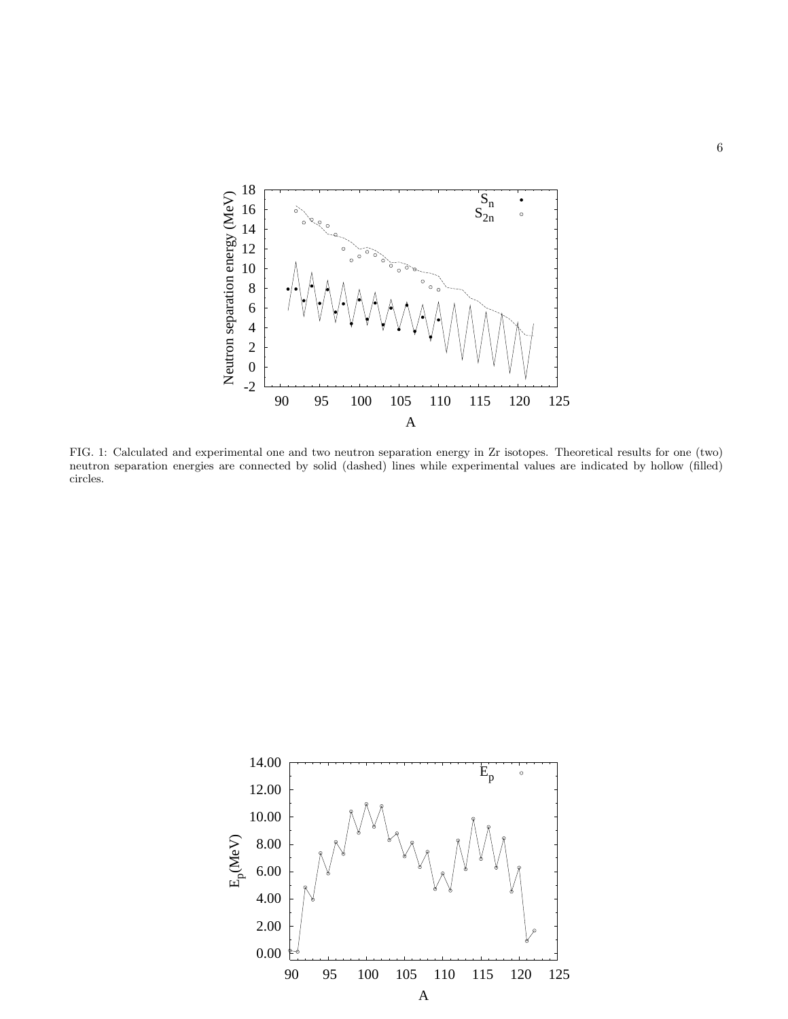

<span id="page-5-0"></span>FIG. 1: Calculated and experimental one and two neutron separation energy in Zr isotopes. Theoretical results for one (two) neutron separation energies are connected by solid (dashed) lines while experimental values are indicated by hollow (filled) circles.

<span id="page-5-1"></span>